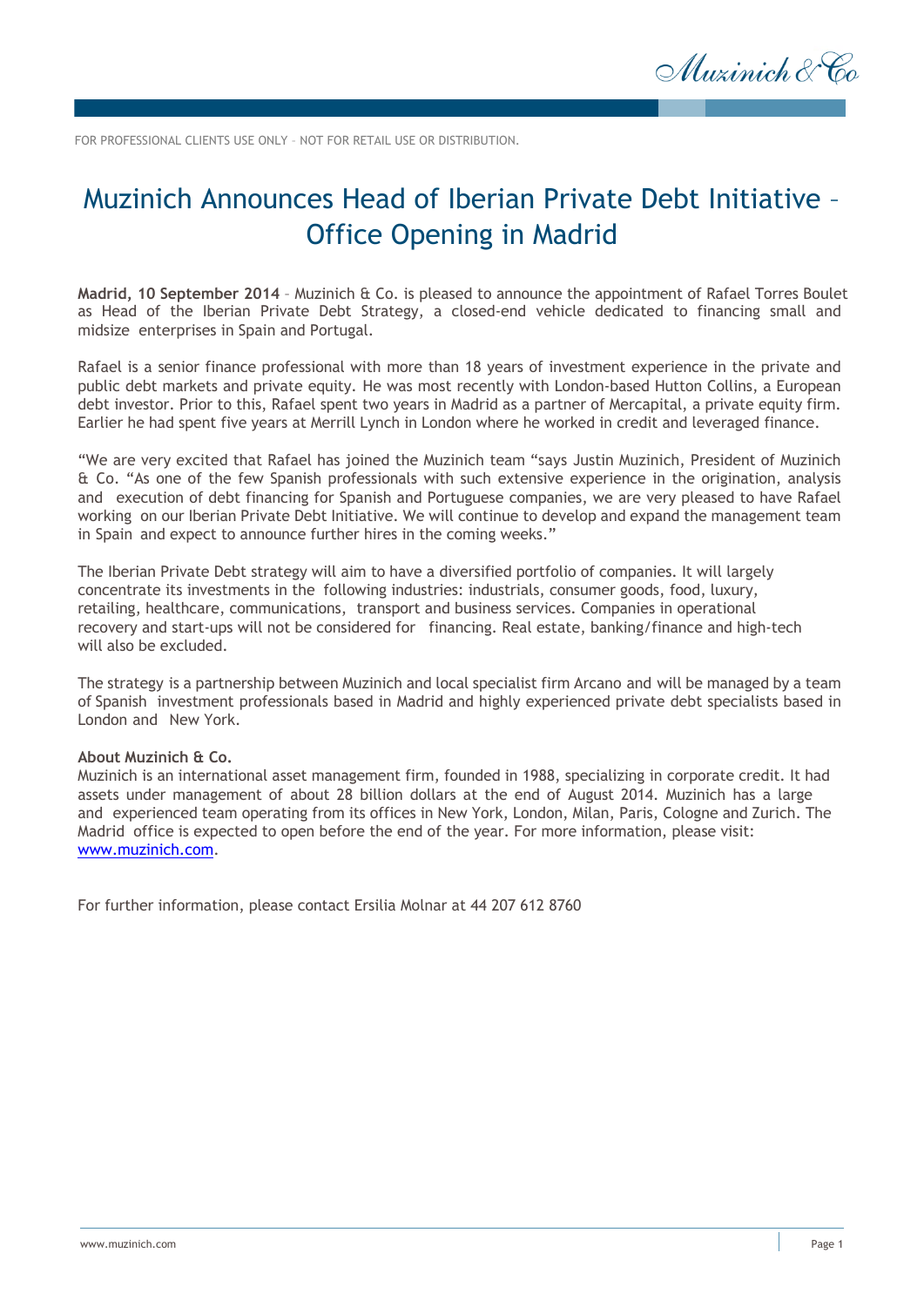Muzinich & Co

FOR PROFESSIONAL CLIENTS USE ONLY – NOT FOR RETAIL USE OR DISTRIBUTION.

## Muzinich Announces Head of Iberian Private Debt Initiative – Office Opening in Madrid

**Madrid, 10 September 2014** – Muzinich & Co. is pleased to announce the appointment of Rafael Torres Boulet as Head of the Iberian Private Debt Strategy, a closed-end vehicle dedicated to financing small and midsize enterprises in Spain and Portugal.

Rafael is a senior finance professional with more than 18 years of investment experience in the private and public debt markets and private equity. He was most recently with London-based Hutton Collins, a European debt investor. Prior to this, Rafael spent two years in Madrid as a partner of Mercapital, a private equity firm. Earlier he had spent five years at Merrill Lynch in London where he worked in credit and leveraged finance.

"We are very excited that Rafael has joined the Muzinich team "says Justin Muzinich, President of Muzinich & Co. "As one of the few Spanish professionals with such extensive experience in the origination, analysis and execution of debt financing for Spanish and Portuguese companies, we are very pleased to have Rafael working on our Iberian Private Debt Initiative. We will continue to develop and expand the management team in Spain and expect to announce further hires in the coming weeks."

The Iberian Private Debt strategy will aim to have a diversified portfolio of companies. It will largely concentrate its investments in the following industries: industrials, consumer goods, food, luxury, retailing, healthcare, communications, transport and business services. Companies in operational recovery and start-ups will not be considered for financing. Real estate, banking/finance and high-tech will also be excluded.

The strategy is a partnership between Muzinich and local specialist firm Arcano and will be managed by a team of Spanish investment professionals based in Madrid and highly experienced private debt specialists based in London and New York.

## **About Muzinich & Co.**

Muzinich is an international asset management firm, founded in 1988, specializing in corporate credit. It had assets under management of about 28 billion dollars at the end of August 2014. Muzinich has a large and experienced team operating from its offices in New York, London, Milan, Paris, Cologne and Zurich. The Madrid office is expected to open before the end of the year. For more information, please visit: [www.muzinich.com.](http://www.muzinich.com/)

For further information, please contact Ersilia Molnar at 44 207 612 8760